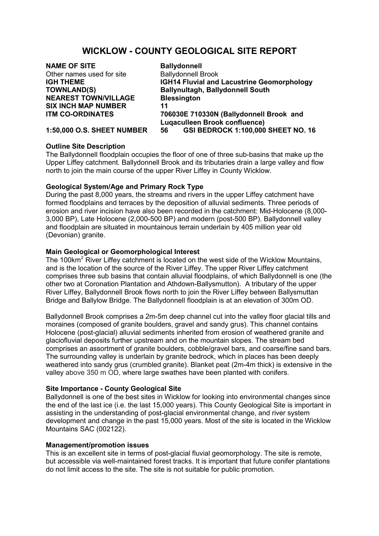# **WICKLOW - COUNTY GEOLOGICAL SITE REPORT**

# **NAME OF SITE**<br>
Other names used for site<br> **Ballydonnell Brook** Other names used for site **NEAREST TOWN/VILLAGE Blessington SIX INCH MAP NUMBER 11**

**IGH THEME IGH14 Fluvial and Lacustrine Geomorphology TOWNLAND(S) Ballynultagh, Ballydonnell South ITM CO-ORDINATES 706030E 710330N (Ballydonnell Brook and Luqaculleen Brook confluence) 1:50,000 O.S. SHEET NUMBER 56 GSI BEDROCK 1:100,000 SHEET NO. 16**

# **Outline Site Description**

The Ballydonnell floodplain occupies the floor of one of three sub-basins that make up the Upper Liffey catchment. Ballydonnell Brook and its tributaries drain a large valley and flow north to join the main course of the upper River Liffey in County Wicklow.

# **Geological System/Age and Primary Rock Type**

During the past 8,000 years, the streams and rivers in the upper Liffey catchment have formed floodplains and terraces by the deposition of alluvial sediments. Three periods of erosion and river incision have also been recorded in the catchment: Mid-Holocene (8,000- 3,000 BP), Late Holocene (2,000-500 BP) and modern (post-500 BP). Ballydonnell valley and floodplain are situated in mountainous terrain underlain by 405 million year old (Devonian) granite.

### **Main Geological or Geomorphological Interest**

The 100km<sup>2</sup> River Liffey catchment is located on the west side of the Wicklow Mountains, and is the location of the source of the River Liffey. The upper River Liffey catchment comprises three sub basins that contain alluvial floodplains, of which Ballydonnell is one (the other two at Coronation Plantation and Athdown-Ballysmutton). A tributary of the upper River Liffey, Ballydonnell Brook flows north to join the River Liffey between Ballysmuttan Bridge and Ballylow Bridge. The Ballydonnell floodplain is at an elevation of 300m OD.

Ballydonnell Brook comprises a 2m-5m deep channel cut into the valley floor glacial tills and moraines (composed of granite boulders, gravel and sandy grus). This channel contains Holocene (post-glacial) alluvial sediments inherited from erosion of weathered granite and glaciofluvial deposits further upstream and on the mountain slopes. The stream bed comprises an assortment of granite boulders, cobble/gravel bars, and coarse/fine sand bars. The surrounding valley is underlain by granite bedrock, which in places has been deeply weathered into sandy grus (crumbled granite). Blanket peat (2m-4m thick) is extensive in the valley above 350 m OD, where large swathes have been planted with conifers.

### **Site Importance - County Geological Site**

Ballydonnell is one of the best sites in Wicklow for looking into environmental changes since the end of the last ice (i.e. the last 15,000 years). This County Geological Site is important in assisting in the understanding of post-glacial environmental change, and river system development and change in the past 15,000 years. Most of the site is located in the Wicklow Mountains SAC (002122).

### **Management/promotion issues**

This is an excellent site in terms of post-glacial fluvial geomorphology. The site is remote, but accessible via well-maintained forest tracks. It is important that future conifer plantations do not limit access to the site. The site is not suitable for public promotion.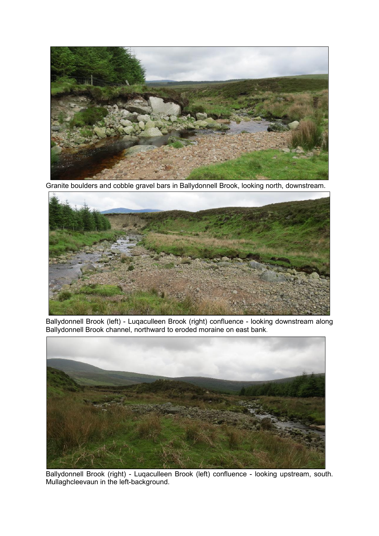

Granite boulders and cobble gravel bars in Ballydonnell Brook, looking north, downstream.



Ballydonnell Brook (left) - Luqaculleen Brook (right) confluence - looking downstream along Ballydonnell Brook channel, northward to eroded moraine on east bank.



Ballydonnell Brook (right) - Luqaculleen Brook (left) confluence - looking upstream, south. Mullaghcleevaun in the left-background.